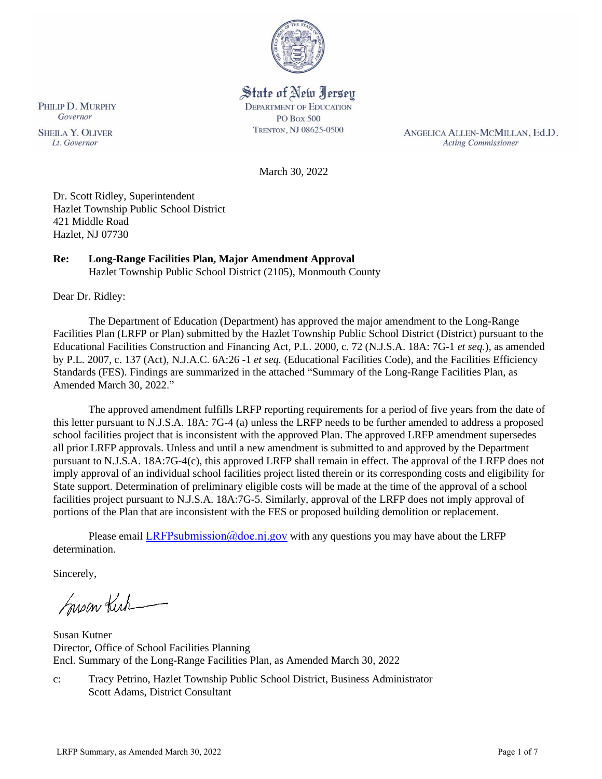

# State of New Jersey

**DEPARTMENT OF EDUCATION** PO Box 500 TRENTON, NJ 08625-0500

ANGELICA ALLEN-MCMILLAN, Ed.D. **Acting Commissioner** 

March 30, 2022

Dr. Scott Ridley, Superintendent Hazlet Township Public School District 421 Middle Road Hazlet, NJ 07730

# **Re: Long-Range Facilities Plan, Major Amendment Approval**

Hazlet Township Public School District (2105), Monmouth County

Dear Dr. Ridley:

The Department of Education (Department) has approved the major amendment to the Long-Range Facilities Plan (LRFP or Plan) submitted by the Hazlet Township Public School District (District) pursuant to the Educational Facilities Construction and Financing Act, P.L. 2000, c. 72 (N.J.S.A. 18A: 7G-1 *et seq.*), as amended by P.L. 2007, c. 137 (Act), N.J.A.C. 6A:26 -1 *et seq.* (Educational Facilities Code), and the Facilities Efficiency Standards (FES). Findings are summarized in the attached "Summary of the Long-Range Facilities Plan, as Amended March 30, 2022."

The approved amendment fulfills LRFP reporting requirements for a period of five years from the date of this letter pursuant to N.J.S.A. 18A: 7G-4 (a) unless the LRFP needs to be further amended to address a proposed school facilities project that is inconsistent with the approved Plan. The approved LRFP amendment supersedes all prior LRFP approvals. Unless and until a new amendment is submitted to and approved by the Department pursuant to N.J.S.A. 18A:7G-4(c), this approved LRFP shall remain in effect. The approval of the LRFP does not imply approval of an individual school facilities project listed therein or its corresponding costs and eligibility for State support. Determination of preliminary eligible costs will be made at the time of the approval of a school facilities project pursuant to N.J.S.A. 18A:7G-5. Similarly, approval of the LRFP does not imply approval of portions of the Plan that are inconsistent with the FES or proposed building demolition or replacement.

Please email LRFPsubmission  $@doen$  i.gov with any questions you may have about the LRFP determination.

Sincerely,

Susan Kich

Susan Kutner Director, Office of School Facilities Planning Encl. Summary of the Long-Range Facilities Plan, as Amended March 30, 2022

c: Tracy Petrino, Hazlet Township Public School District, Business Administrator Scott Adams, District Consultant

**SHEILA Y. OLIVER** 

Lt. Governor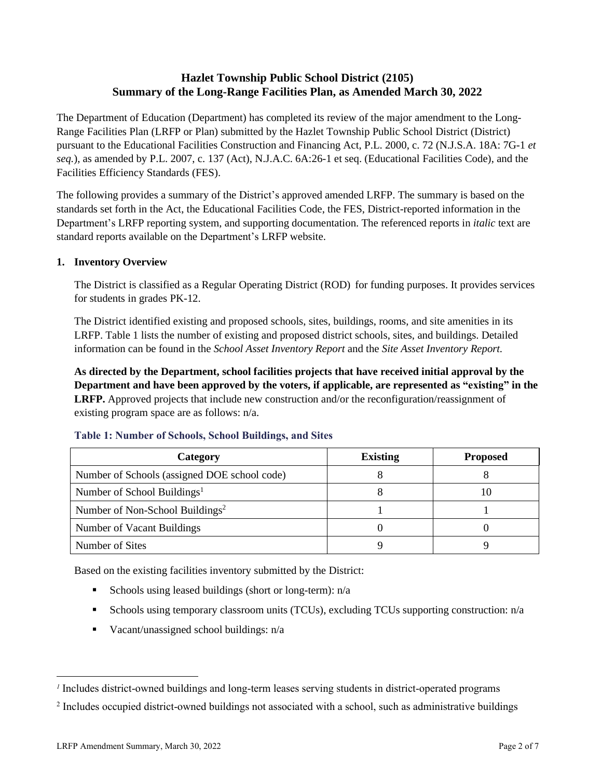# **Hazlet Township Public School District (2105) Summary of the Long-Range Facilities Plan, as Amended March 30, 2022**

The Department of Education (Department) has completed its review of the major amendment to the Long-Range Facilities Plan (LRFP or Plan) submitted by the Hazlet Township Public School District (District) pursuant to the Educational Facilities Construction and Financing Act, P.L. 2000, c. 72 (N.J.S.A. 18A: 7G-1 *et seq.*), as amended by P.L. 2007, c. 137 (Act), N.J.A.C. 6A:26-1 et seq. (Educational Facilities Code), and the Facilities Efficiency Standards (FES).

The following provides a summary of the District's approved amended LRFP. The summary is based on the standards set forth in the Act, the Educational Facilities Code, the FES, District-reported information in the Department's LRFP reporting system, and supporting documentation. The referenced reports in *italic* text are standard reports available on the Department's LRFP website.

#### **1. Inventory Overview**

The District is classified as a Regular Operating District (ROD) for funding purposes. It provides services for students in grades PK-12.

The District identified existing and proposed schools, sites, buildings, rooms, and site amenities in its LRFP. Table 1 lists the number of existing and proposed district schools, sites, and buildings. Detailed information can be found in the *School Asset Inventory Report* and the *Site Asset Inventory Report.*

**As directed by the Department, school facilities projects that have received initial approval by the Department and have been approved by the voters, if applicable, are represented as "existing" in the LRFP.** Approved projects that include new construction and/or the reconfiguration/reassignment of existing program space are as follows: n/a.

| Category                                     | <b>Existing</b> | <b>Proposed</b> |
|----------------------------------------------|-----------------|-----------------|
| Number of Schools (assigned DOE school code) |                 |                 |
| Number of School Buildings <sup>1</sup>      |                 | 10              |
| Number of Non-School Buildings <sup>2</sup>  |                 |                 |
| Number of Vacant Buildings                   |                 |                 |
| Number of Sites                              |                 |                 |

#### **Table 1: Number of Schools, School Buildings, and Sites**

Based on the existing facilities inventory submitted by the District:

- **Exercise** Schools using leased buildings (short or long-term):  $n/a$
- Schools using temporary classroom units (TCUs), excluding TCUs supporting construction: n/a
- $\blacksquare$  Vacant/unassigned school buildings:  $n/a$

*<sup>1</sup>* Includes district-owned buildings and long-term leases serving students in district-operated programs

<sup>&</sup>lt;sup>2</sup> Includes occupied district-owned buildings not associated with a school, such as administrative buildings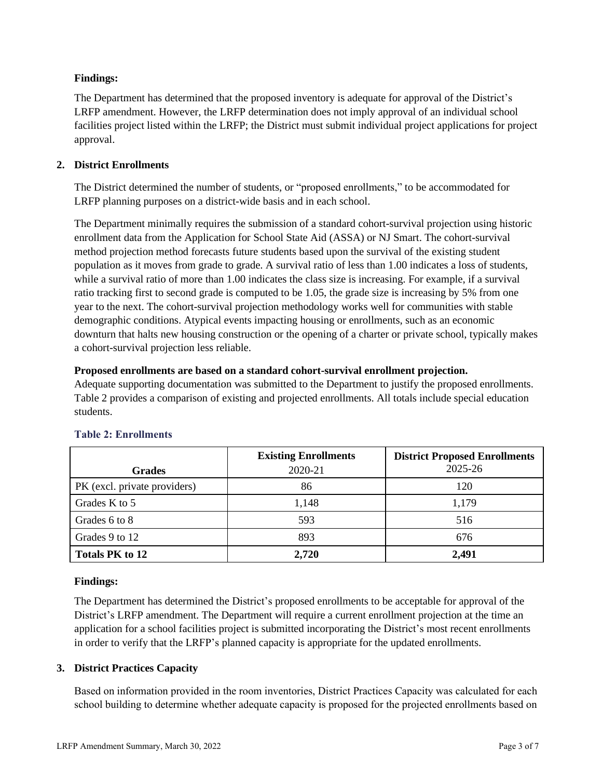# **Findings:**

The Department has determined that the proposed inventory is adequate for approval of the District's LRFP amendment. However, the LRFP determination does not imply approval of an individual school facilities project listed within the LRFP; the District must submit individual project applications for project approval.

# **2. District Enrollments**

The District determined the number of students, or "proposed enrollments," to be accommodated for LRFP planning purposes on a district-wide basis and in each school.

The Department minimally requires the submission of a standard cohort-survival projection using historic enrollment data from the Application for School State Aid (ASSA) or NJ Smart. The cohort-survival method projection method forecasts future students based upon the survival of the existing student population as it moves from grade to grade. A survival ratio of less than 1.00 indicates a loss of students, while a survival ratio of more than 1.00 indicates the class size is increasing. For example, if a survival ratio tracking first to second grade is computed to be 1.05, the grade size is increasing by 5% from one year to the next. The cohort-survival projection methodology works well for communities with stable demographic conditions. Atypical events impacting housing or enrollments, such as an economic downturn that halts new housing construction or the opening of a charter or private school, typically makes a cohort-survival projection less reliable.

# **Proposed enrollments are based on a standard cohort-survival enrollment projection.**

Adequate supporting documentation was submitted to the Department to justify the proposed enrollments. Table 2 provides a comparison of existing and projected enrollments. All totals include special education students.

|                              | <b>Existing Enrollments</b> | <b>District Proposed Enrollments</b> |
|------------------------------|-----------------------------|--------------------------------------|
| <b>Grades</b>                | 2020-21                     | 2025-26                              |
| PK (excl. private providers) | 86                          | 120                                  |
| Grades K to 5                | 1,148                       | 1,179                                |
| Grades 6 to 8                | 593                         | 516                                  |
| Grades 9 to 12               | 893                         | 676                                  |
| <b>Totals PK to 12</b>       | 2,720                       | 2,491                                |

# **Table 2: Enrollments**

# **Findings:**

The Department has determined the District's proposed enrollments to be acceptable for approval of the District's LRFP amendment. The Department will require a current enrollment projection at the time an application for a school facilities project is submitted incorporating the District's most recent enrollments in order to verify that the LRFP's planned capacity is appropriate for the updated enrollments.

# **3. District Practices Capacity**

Based on information provided in the room inventories, District Practices Capacity was calculated for each school building to determine whether adequate capacity is proposed for the projected enrollments based on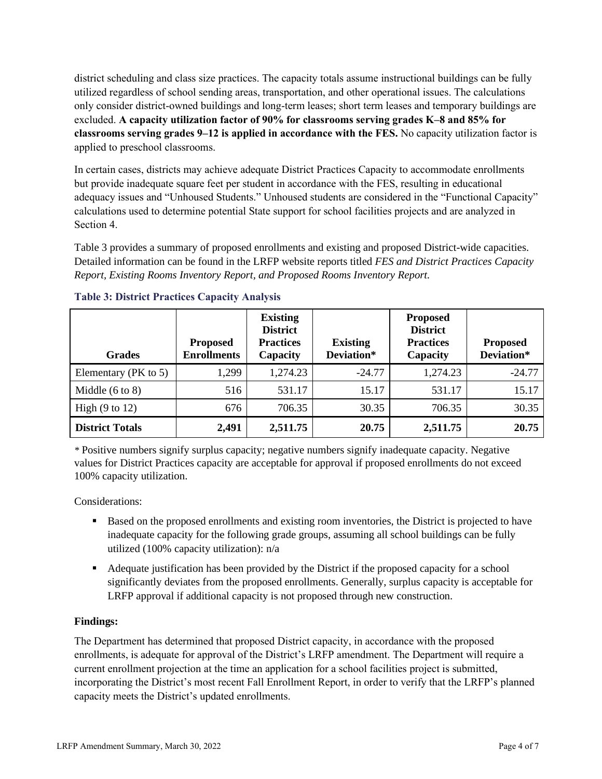district scheduling and class size practices. The capacity totals assume instructional buildings can be fully utilized regardless of school sending areas, transportation, and other operational issues. The calculations only consider district-owned buildings and long-term leases; short term leases and temporary buildings are excluded. **A capacity utilization factor of 90% for classrooms serving grades K–8 and 85% for classrooms serving grades 9–12 is applied in accordance with the FES.** No capacity utilization factor is applied to preschool classrooms.

In certain cases, districts may achieve adequate District Practices Capacity to accommodate enrollments but provide inadequate square feet per student in accordance with the FES, resulting in educational adequacy issues and "Unhoused Students." Unhoused students are considered in the "Functional Capacity" calculations used to determine potential State support for school facilities projects and are analyzed in Section 4.

Table 3 provides a summary of proposed enrollments and existing and proposed District-wide capacities. Detailed information can be found in the LRFP website reports titled *FES and District Practices Capacity Report, Existing Rooms Inventory Report, and Proposed Rooms Inventory Report.*

| <b>Grades</b>              | <b>Proposed</b><br><b>Enrollments</b> | <b>Existing</b><br><b>District</b><br><b>Practices</b><br>Capacity | <b>Existing</b><br>Deviation* | <b>Proposed</b><br><b>District</b><br><b>Practices</b><br>Capacity | <b>Proposed</b><br>Deviation* |
|----------------------------|---------------------------------------|--------------------------------------------------------------------|-------------------------------|--------------------------------------------------------------------|-------------------------------|
| Elementary (PK to 5)       | 1,299                                 | 1,274.23                                                           | $-24.77$                      | 1,274.23                                                           | $-24.77$                      |
| Middle $(6 \text{ to } 8)$ | 516                                   | 531.17                                                             | 15.17                         | 531.17                                                             | 15.17                         |
| High $(9 \text{ to } 12)$  | 676                                   | 706.35                                                             | 30.35                         | 706.35                                                             | 30.35                         |
| <b>District Totals</b>     | 2,491                                 | 2,511.75                                                           | 20.75                         | 2,511.75                                                           | 20.75                         |

# **Table 3: District Practices Capacity Analysis**

*\** Positive numbers signify surplus capacity; negative numbers signify inadequate capacity. Negative values for District Practices capacity are acceptable for approval if proposed enrollments do not exceed 100% capacity utilization.

Considerations:

- Based on the proposed enrollments and existing room inventories, the District is projected to have inadequate capacity for the following grade groups, assuming all school buildings can be fully utilized (100% capacity utilization): n/a
- Adequate justification has been provided by the District if the proposed capacity for a school significantly deviates from the proposed enrollments. Generally, surplus capacity is acceptable for LRFP approval if additional capacity is not proposed through new construction.

# **Findings:**

The Department has determined that proposed District capacity, in accordance with the proposed enrollments, is adequate for approval of the District's LRFP amendment. The Department will require a current enrollment projection at the time an application for a school facilities project is submitted, incorporating the District's most recent Fall Enrollment Report, in order to verify that the LRFP's planned capacity meets the District's updated enrollments.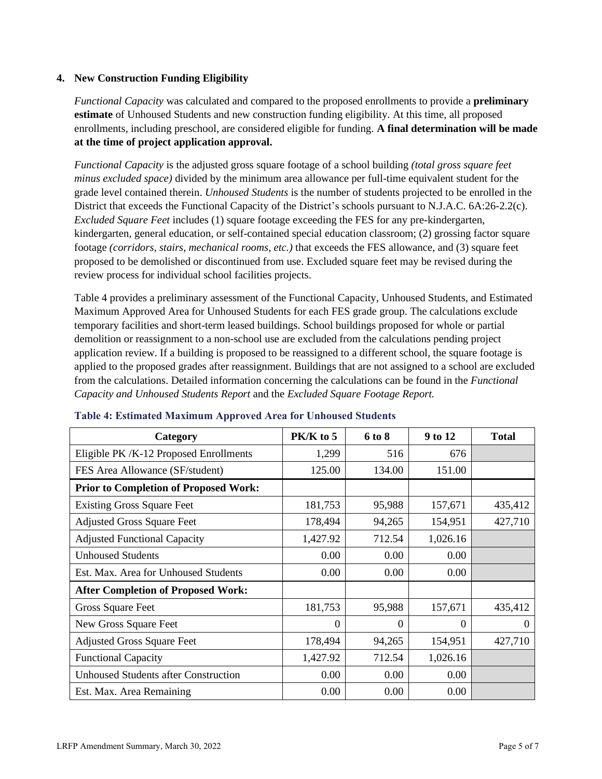## **4. New Construction Funding Eligibility**

*Functional Capacity* was calculated and compared to the proposed enrollments to provide a **preliminary estimate** of Unhoused Students and new construction funding eligibility. At this time, all proposed enrollments, including preschool, are considered eligible for funding. **A final determination will be made at the time of project application approval.**

*Functional Capacity* is the adjusted gross square footage of a school building *(total gross square feet minus excluded space)* divided by the minimum area allowance per full-time equivalent student for the grade level contained therein. *Unhoused Students* is the number of students projected to be enrolled in the District that exceeds the Functional Capacity of the District's schools pursuant to N.J.A.C. 6A:26-2.2(c). *Excluded Square Feet* includes (1) square footage exceeding the FES for any pre-kindergarten, kindergarten, general education, or self-contained special education classroom; (2) grossing factor square footage *(corridors, stairs, mechanical rooms, etc.)* that exceeds the FES allowance, and (3) square feet proposed to be demolished or discontinued from use. Excluded square feet may be revised during the review process for individual school facilities projects.

Table 4 provides a preliminary assessment of the Functional Capacity, Unhoused Students, and Estimated Maximum Approved Area for Unhoused Students for each FES grade group. The calculations exclude temporary facilities and short-term leased buildings. School buildings proposed for whole or partial demolition or reassignment to a non-school use are excluded from the calculations pending project application review. If a building is proposed to be reassigned to a different school, the square footage is applied to the proposed grades after reassignment. Buildings that are not assigned to a school are excluded from the calculations. Detailed information concerning the calculations can be found in the *Functional Capacity and Unhoused Students Report* and the *Excluded Square Footage Report.*

| Category                                     | PK/K to 5 | 6 to 8   | 9 to 12  | <b>Total</b> |
|----------------------------------------------|-----------|----------|----------|--------------|
| Eligible PK/K-12 Proposed Enrollments        | 1,299     | 516      | 676      |              |
| FES Area Allowance (SF/student)              | 125.00    | 134.00   | 151.00   |              |
| <b>Prior to Completion of Proposed Work:</b> |           |          |          |              |
| <b>Existing Gross Square Feet</b>            | 181,753   | 95,988   | 157,671  | 435,412      |
| <b>Adjusted Gross Square Feet</b>            | 178,494   | 94,265   | 154,951  | 427,710      |
| <b>Adjusted Functional Capacity</b>          | 1,427.92  | 712.54   | 1,026.16 |              |
| <b>Unhoused Students</b>                     | 0.00      | 0.00     | 0.00     |              |
| Est. Max. Area for Unhoused Students         | 0.00      | 0.00     | 0.00     |              |
| <b>After Completion of Proposed Work:</b>    |           |          |          |              |
| Gross Square Feet                            | 181,753   | 95,988   | 157,671  | 435,412      |
| New Gross Square Feet                        | $\Omega$  | $\Omega$ | $\Omega$ | $\Omega$     |
| <b>Adjusted Gross Square Feet</b>            | 178,494   | 94,265   | 154,951  | 427,710      |
| <b>Functional Capacity</b>                   | 1,427.92  | 712.54   | 1,026.16 |              |
| <b>Unhoused Students after Construction</b>  | 0.00      | 0.00     | 0.00     |              |
| Est. Max. Area Remaining                     | 0.00      | 0.00     | 0.00     |              |

#### **Table 4: Estimated Maximum Approved Area for Unhoused Students**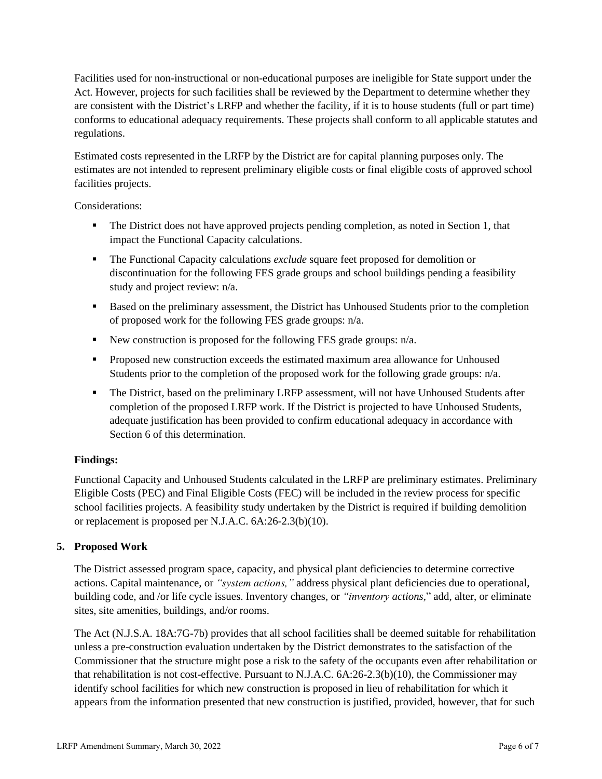Facilities used for non-instructional or non-educational purposes are ineligible for State support under the Act. However, projects for such facilities shall be reviewed by the Department to determine whether they are consistent with the District's LRFP and whether the facility, if it is to house students (full or part time) conforms to educational adequacy requirements. These projects shall conform to all applicable statutes and regulations.

Estimated costs represented in the LRFP by the District are for capital planning purposes only. The estimates are not intended to represent preliminary eligible costs or final eligible costs of approved school facilities projects.

Considerations:

- **•** The District does not have approved projects pending completion, as noted in Section 1, that impact the Functional Capacity calculations.
- The Functional Capacity calculations *exclude* square feet proposed for demolition or discontinuation for the following FES grade groups and school buildings pending a feasibility study and project review: n/a.
- Based on the preliminary assessment, the District has Unhoused Students prior to the completion of proposed work for the following FES grade groups: n/a.
- New construction is proposed for the following FES grade groups: n/a.
- Proposed new construction exceeds the estimated maximum area allowance for Unhoused Students prior to the completion of the proposed work for the following grade groups: n/a.
- **•** The District, based on the preliminary LRFP assessment, will not have Unhoused Students after completion of the proposed LRFP work. If the District is projected to have Unhoused Students, adequate justification has been provided to confirm educational adequacy in accordance with Section 6 of this determination.

# **Findings:**

Functional Capacity and Unhoused Students calculated in the LRFP are preliminary estimates. Preliminary Eligible Costs (PEC) and Final Eligible Costs (FEC) will be included in the review process for specific school facilities projects. A feasibility study undertaken by the District is required if building demolition or replacement is proposed per N.J.A.C. 6A:26-2.3(b)(10).

# **5. Proposed Work**

The District assessed program space, capacity, and physical plant deficiencies to determine corrective actions. Capital maintenance, or *"system actions,"* address physical plant deficiencies due to operational, building code, and /or life cycle issues. Inventory changes, or *"inventory actions,*" add, alter, or eliminate sites, site amenities, buildings, and/or rooms.

The Act (N.J.S.A. 18A:7G-7b) provides that all school facilities shall be deemed suitable for rehabilitation unless a pre-construction evaluation undertaken by the District demonstrates to the satisfaction of the Commissioner that the structure might pose a risk to the safety of the occupants even after rehabilitation or that rehabilitation is not cost-effective. Pursuant to N.J.A.C. 6A:26-2.3(b)(10), the Commissioner may identify school facilities for which new construction is proposed in lieu of rehabilitation for which it appears from the information presented that new construction is justified, provided, however, that for such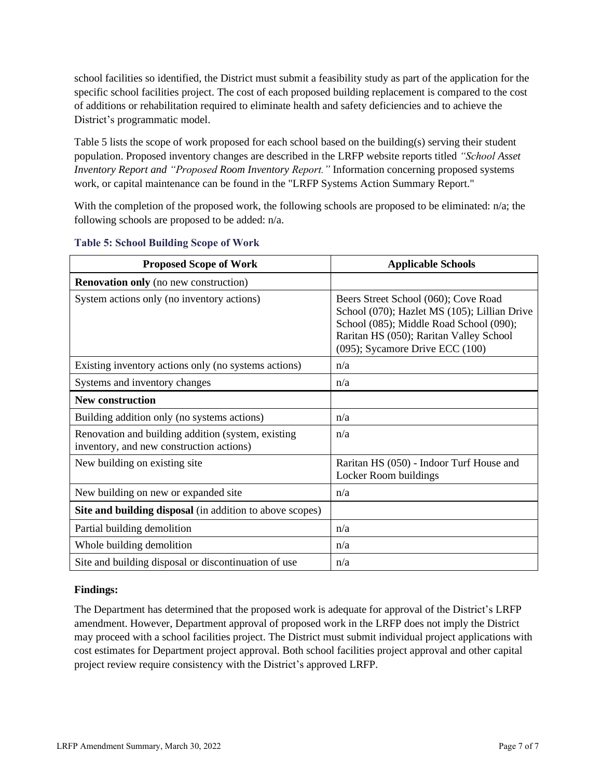school facilities so identified, the District must submit a feasibility study as part of the application for the specific school facilities project. The cost of each proposed building replacement is compared to the cost of additions or rehabilitation required to eliminate health and safety deficiencies and to achieve the District's programmatic model.

Table 5 lists the scope of work proposed for each school based on the building(s) serving their student population. Proposed inventory changes are described in the LRFP website reports titled *"School Asset Inventory Report and "Proposed Room Inventory Report."* Information concerning proposed systems work, or capital maintenance can be found in the "LRFP Systems Action Summary Report."

With the completion of the proposed work, the following schools are proposed to be eliminated: n/a; the following schools are proposed to be added: n/a.

| <b>Proposed Scope of Work</b>                                                                  | <b>Applicable Schools</b>                                                                                                                                                                                          |
|------------------------------------------------------------------------------------------------|--------------------------------------------------------------------------------------------------------------------------------------------------------------------------------------------------------------------|
| <b>Renovation only</b> (no new construction)                                                   |                                                                                                                                                                                                                    |
| System actions only (no inventory actions)                                                     | Beers Street School (060); Cove Road<br>School (070); Hazlet MS (105); Lillian Drive<br>School (085); Middle Road School (090);<br>Raritan HS (050); Raritan Valley School<br>$(095)$ ; Sycamore Drive ECC $(100)$ |
| Existing inventory actions only (no systems actions)                                           | n/a                                                                                                                                                                                                                |
| Systems and inventory changes                                                                  | n/a                                                                                                                                                                                                                |
| <b>New construction</b>                                                                        |                                                                                                                                                                                                                    |
| Building addition only (no systems actions)                                                    | n/a                                                                                                                                                                                                                |
| Renovation and building addition (system, existing<br>inventory, and new construction actions) | n/a                                                                                                                                                                                                                |
| New building on existing site                                                                  | Raritan HS (050) - Indoor Turf House and<br>Locker Room buildings                                                                                                                                                  |
| New building on new or expanded site                                                           | n/a                                                                                                                                                                                                                |
| <b>Site and building disposal</b> (in addition to above scopes)                                |                                                                                                                                                                                                                    |
| Partial building demolition                                                                    | n/a                                                                                                                                                                                                                |
| Whole building demolition                                                                      | n/a                                                                                                                                                                                                                |
| Site and building disposal or discontinuation of use                                           | n/a                                                                                                                                                                                                                |

#### **Table 5: School Building Scope of Work**

#### **Findings:**

The Department has determined that the proposed work is adequate for approval of the District's LRFP amendment. However, Department approval of proposed work in the LRFP does not imply the District may proceed with a school facilities project. The District must submit individual project applications with cost estimates for Department project approval. Both school facilities project approval and other capital project review require consistency with the District's approved LRFP.